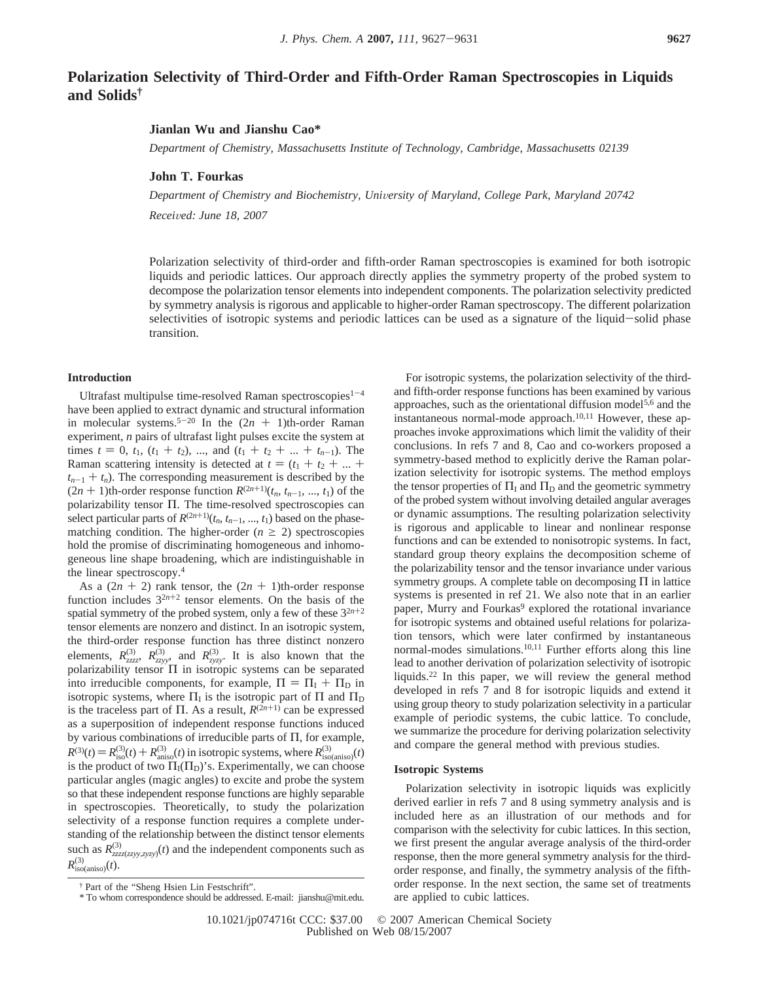# **Polarization Selectivity of Third-Order and Fifth-Order Raman Spectroscopies in Liquids and Solids†**

# **Jianlan Wu and Jianshu Cao\***

*Department of Chemistry, Massachusetts Institute of Technology, Cambridge, Massachusetts 02139*

### **John T. Fourkas**

Department of Chemistry and Biochemistry, University of Maryland, College Park, Maryland 20742

*Recei*V*ed: June 18, 2007*

Polarization selectivity of third-order and fifth-order Raman spectroscopies is examined for both isotropic liquids and periodic lattices. Our approach directly applies the symmetry property of the probed system to decompose the polarization tensor elements into independent components. The polarization selectivity predicted by symmetry analysis is rigorous and applicable to higher-order Raman spectroscopy. The different polarization selectivities of isotropic systems and periodic lattices can be used as a signature of the liquid-solid phase transition.

#### **Introduction**

Ultrafast multipulse time-resolved Raman spectroscopies $1-4$ have been applied to extract dynamic and structural information in molecular systems.<sup>5-20</sup> In the  $(2n + 1)$ th-order Raman experiment, *n* pairs of ultrafast light pulses excite the system at times  $t = 0$ ,  $t_1$ ,  $(t_1 + t_2)$ , ..., and  $(t_1 + t_2 + ... + t_{n-1})$ . The Raman scattering intensity is detected at  $t = (t_1 + t_2 + ... + t_n)$  $t_{n-1} + t_n$ ). The corresponding measurement is described by the  $(2n + 1)$ th-order response function  $R^{(2n+1)}(t_n, t_{n-1}, \ldots, t_1)$  of the polarizability tensor Π. The time-resolved spectroscopies can select particular parts of  $R^{(2n+1)}(t_n, t_{n-1}, ..., t_1)$  based on the phasematching condition. The higher-order  $(n \ge 2)$  spectroscopies hold the promise of discriminating homogeneous and inhomogeneous line shape broadening, which are indistinguishable in the linear spectroscopy.4

As a  $(2n + 2)$  rank tensor, the  $(2n + 1)$ th-order response function includes  $3^{2n+2}$  tensor elements. On the basis of the spatial symmetry of the probed system, only a few of these  $3^{2n+2}$ tensor elements are nonzero and distinct. In an isotropic system, the third-order response function has three distinct nonzero elements,  $R_{zzzz}^{(3)}$ ,  $R_{zzyy}^{(3)}$ , and  $R_{zyzy}^{(3)}$ . It is also known that the polarizability tensor  $\Pi$  in isotropic systems can be separated into irreducible components, for example,  $\Pi = \Pi_I + \Pi_D$  in isotropic systems, where  $\Pi_I$  is the isotropic part of  $\Pi$  and  $\Pi_D$ is the traceless part of  $\Pi$ . As a result,  $R^{(2n+1)}$  can be expressed as a superposition of independent response functions induced by various combinations of irreducible parts of Π, for example,  $R^{(3)}(t) = R_{\text{is}}^{(3)}(t) + R_{\text{anis}}^{(3)}(t)$  in isotropic systems, where  $R_{\text{iso}}^{(3)}(t)$  is the product of two  $\Pi_1(\Pi_2)$ 's Experimentally we can choose is the product of two  $\Pi_I(\Pi_D)$ 's. Experimentally, we can choose particular angles (magic angles) to excite and probe the system so that these independent response functions are highly separable in spectroscopies. Theoretically, to study the polarization selectivity of a response function requires a complete understanding of the relationship between the distinct tensor elements such as  $R^{(3)}_{zzzz(zyy,zyzy)}(t)$  and the independent components such as  $R^{(3)}_{\text{iso(aniso)}}(t)$ .

For isotropic systems, the polarization selectivity of the thirdand fifth-order response functions has been examined by various approaches, such as the orientational diffusion model5,6 and the instantaneous normal-mode approach. $10,11$  However, these approaches invoke approximations which limit the validity of their conclusions. In refs 7 and 8, Cao and co-workers proposed a symmetry-based method to explicitly derive the Raman polarization selectivity for isotropic systems. The method employs the tensor properties of  $\Pi_I$  and  $\Pi_D$  and the geometric symmetry of the probed system without involving detailed angular averages or dynamic assumptions. The resulting polarization selectivity is rigorous and applicable to linear and nonlinear response functions and can be extended to nonisotropic systems. In fact, standard group theory explains the decomposition scheme of the polarizability tensor and the tensor invariance under various symmetry groups. A complete table on decomposing  $\Pi$  in lattice systems is presented in ref 21. We also note that in an earlier paper, Murry and Fourkas<sup>9</sup> explored the rotational invariance for isotropic systems and obtained useful relations for polarization tensors, which were later confirmed by instantaneous normal-modes simulations.10,11 Further efforts along this line lead to another derivation of polarization selectivity of isotropic liquids.22 In this paper, we will review the general method developed in refs 7 and 8 for isotropic liquids and extend it using group theory to study polarization selectivity in a particular example of periodic systems, the cubic lattice. To conclude, we summarize the procedure for deriving polarization selectivity and compare the general method with previous studies.

### **Isotropic Systems**

Polarization selectivity in isotropic liquids was explicitly derived earlier in refs 7 and 8 using symmetry analysis and is included here as an illustration of our methods and for comparison with the selectivity for cubic lattices. In this section, we first present the angular average analysis of the third-order response, then the more general symmetry analysis for the thirdorder response, and finally, the symmetry analysis of the fifthorder response. In the next section, the same set of treatments are applied to cubic lattices.

<sup>†</sup> Part of the "Sheng Hsien Lin Festschrift".

<sup>\*</sup> To whom correspondence should be addressed. E-mail: jianshu@mit.edu.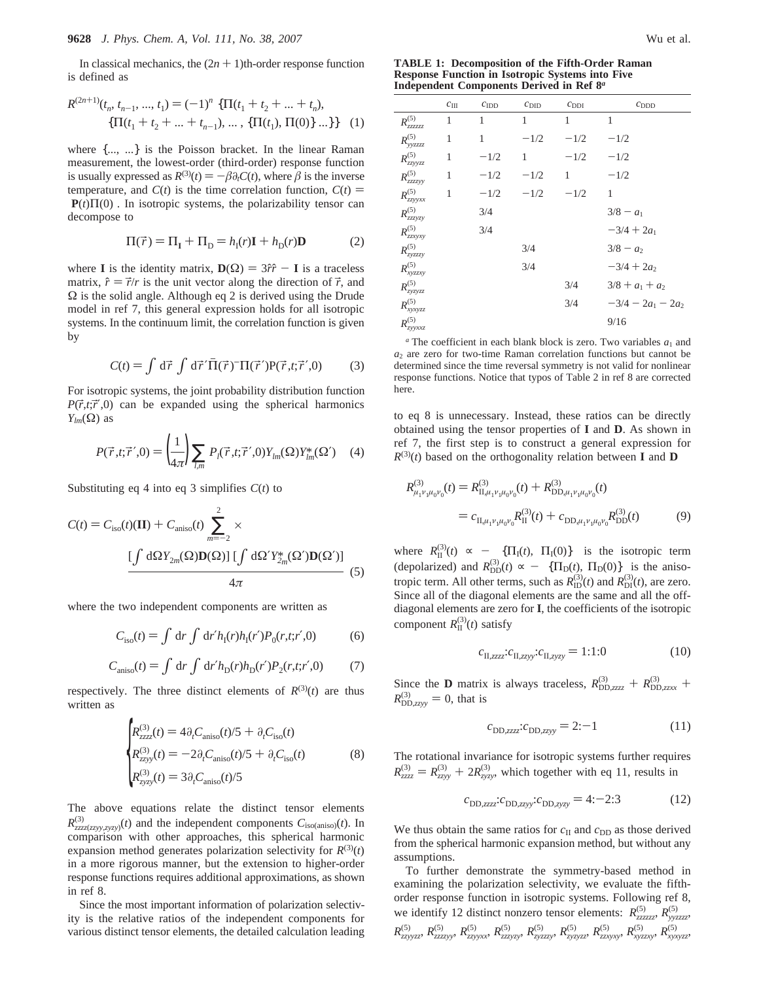In classical mechanics, the  $(2n + 1)$ th-order response function is defined as

$$
R^{(2n+1)}(t_n, t_{n-1}, ..., t_1) = (-1)^n \langle \{\Pi(t_1 + t_2 + ... + t_n),\{\Pi(t_1 + t_2 + ... + t_{n-1}), ..., \{\Pi(t_1), \Pi(0)\} ...\}\rangle \rangle
$$
 (1)

where  $\{...,\ ... \}$  is the Poisson bracket. In the linear Raman measurement, the lowest-order (third-order) response function is usually expressed as  $R^{(3)}(t) = -\beta \partial_t C(t)$ , where  $\beta$  is the inverse temperature, and  $C(t)$  is the time correlation function,  $C(t)$  =  $\langle P(t) \Pi(0) \rangle$ . In isotropic systems, the polarizability tensor can decompose to

$$
\Pi(\vec{r}) = \Pi_{\mathbf{I}} + \Pi_{\mathbf{D}} = h_{\mathbf{I}}(r)\mathbf{I} + h_{\mathbf{D}}(r)\mathbf{D}
$$
 (2)

where **I** is the identity matrix,  $D(\Omega) = 3\hat{r}\hat{r} - I$  is a traceless matrix,  $\hat{r} = \vec{r}/r$  is the unit vector along the direction of  $\vec{r}$ , and  $\Omega$  is the solid angle. Although eq 2 is derived using the Drude model in ref 7, this general expression holds for all isotropic systems. In the continuum limit, the correlation function is given by

$$
C(t) = \int d\vec{r} \int d\vec{r}' \overline{\Pi}(\vec{r}) \overline{\Pi}(\vec{r}') P(\vec{r}, t; \vec{r}', 0)
$$
 (3)

For isotropic systems, the joint probability distribution function  $P(\vec{r}, t; \vec{r}', 0)$  can be expanded using the spherical harmonics *Ylm*(Ω) as

$$
P(\vec{r},t;\vec{r}',0) = \left(\frac{1}{4\pi}\right) \sum_{l,m} P_l(\vec{r},t;\vec{r}',0) Y_{lm}(\Omega) Y_{lm}^*(\Omega') \quad (4)
$$

Substituting eq 4 into eq 3 simplifies *C*(*t*) to

$$
C(t) = C_{\text{iso}}(t)(\mathbf{II}) + C_{\text{aniso}}(t) \sum_{m=-2}^{2} \times \frac{\left[\int d\Omega Y_{2m}(\Omega) \mathbf{D}(\Omega)\right] \left[\int d\Omega' Y_{2m}^{*}(\Omega') \mathbf{D}(\Omega')\right]}{4\pi} \tag{5}
$$

where the two independent components are written as

$$
C_{\rm iso}(t) = \int \, \mathrm{d}r \int \, \mathrm{d}r' h_{\rm I}(r) h_{\rm I}(r') P_0(r, t; r', 0) \tag{6}
$$

$$
C_{\text{aniso}}(t) = \int \, \mathrm{d}r \int \, \mathrm{d}r' h_{\text{D}}(r) h_{\text{D}}(r') P_2(r, t; r', 0) \tag{7}
$$

respectively. The three distinct elements of  $R^{(3)}(t)$  are thus written as

$$
\begin{cases}\nR_{zzzz}^{(3)}(t) = 4\partial_t C_{\text{aniso}}(t)/5 + \partial_t C_{\text{iso}}(t) \\
R_{zzyy}^{(3)}(t) = -2\partial_t C_{\text{aniso}}(t)/5 + \partial_t C_{\text{iso}}(t) \\
R_{zyzy}^{(3)}(t) = 3\partial_t C_{\text{aniso}}(t)/5\n\end{cases}
$$
\n(8)

The above equations relate the distinct tensor elements  $R_{zzzz(zzyy,zyzy)}^{(3)}(t)$  and the independent components  $C_{\text{iso(aniso)}}(t)$ . In comparison with other approaches, this spherical harmonic expansion method generates polarization selectivity for  $R^{(3)}(t)$ in a more rigorous manner, but the extension to higher-order response functions requires additional approximations, as shown in ref 8.

Since the most important information of polarization selectivity is the relative ratios of the independent components for various distinct tensor elements, the detailed calculation leading

**TABLE 1: Decomposition of the Fifth-Order Raman Response Function in Isotropic Systems into Five Independent Components Derived in Ref 8***<sup>a</sup>*

|                    | $c_{III}$ | $c_{\text{IDD}}$       | $c_{\text{DID}}$ | $c_{\text{DDI}}$  | $c_{\rm DDD}$        |
|--------------------|-----------|------------------------|------------------|-------------------|----------------------|
| $R_{zzzzzz}^{(5)}$ | 1         | $1 \quad \blacksquare$ | 1                | 1                 | 1                    |
| $R_{yyzzzz}^{(5)}$ | 1         | $1 \quad \blacksquare$ | $-1/2$           | $-1/2$            | $-1/2$               |
| $R_{zzyyzz}^{(5)}$ | 1         | $-1/2$                 |                  | 1 $-1/2$          | $-1/2$               |
| $R^{(5)}_{zzzzyy}$ | 1         | $-1/2$                 | $-1/2$           | $1 \qquad \qquad$ | $-1/2$               |
| $R_{zzyyxx}^{(5)}$ | 1         | $-1/2$ $-1/2$ $-1/2$   |                  |                   | 1                    |
| $R^{(5)}_{zzzyzy}$ |           | 3/4                    |                  |                   | $3/8 - a_1$          |
| $R_{zzxyxy}^{(5)}$ |           | 3/4                    |                  |                   | $-3/4 + 2a_1$        |
| $R_{zyzzzy}^{(5)}$ |           |                        | 3/4              |                   | $3/8 - a_2$          |
| $R_{xyzzy}^{(5)}$  |           |                        | 3/4              |                   | $-3/4 + 2a_2$        |
| $R_{zyzyzz}^{(5)}$ |           |                        |                  | 3/4               | $3/8 + a_1 + a_2$    |
| $R_{xyxyzz}^{(5)}$ |           |                        |                  | 3/4               | $-3/4 - 2a_1 - 2a_2$ |
| $R_{zyyxxz}^{(5)}$ |           |                        |                  |                   | 9/16                 |

 $a$ <sup>n</sup> The coefficient in each blank block is zero. Two variables  $a_1$  and  $a_2$  are zero for two-time Raman correlation functions but cannot be determined since the time reversal symmetry is not valid for nonlinear response functions. Notice that typos of Table 2 in ref 8 are corrected here.

to eq 8 is unnecessary. Instead, these ratios can be directly obtained using the tensor properties of **I** and **D**. As shown in ref 7, the first step is to construct a general expression for  $R^{(3)}(t)$  based on the orthogonality relation between **I** and **D** 

$$
R^{(3)}_{\mu_1\nu_1\mu_0\nu_0}(t) = R^{(3)}_{\Pi,\mu_1\nu_1\mu_0\nu_0}(t) + R^{(3)}_{\text{DD},\mu_1\nu_1\mu_0\nu_0}(t)
$$
  
=  $c_{\Pi,\mu_1\nu_1\mu_0\nu_0}R^{(3)}_{\text{II}}(t) + c_{\text{DD},\mu_1\nu_1\mu_0\nu_0}R^{(3)}_{\text{DD}}(t)$  (9)

where  $R_{\text{II}}^{(3)}(t) \propto -\langle \{\Pi_{\text{I}}(t), \Pi_{\text{I}}(0)\} \rangle$  is the isotropic term<br>(depelvized) and  $R^{(3)}(t) \propto -\langle \Pi_{\text{I}}(t), \Pi_{\text{I}}(0)\rangle \rangle$  is the enjoy (depolarized) and  $R_{\text{DD}}^{(3)}(t) \propto - \langle {\Pi_{\text{D}}(t), \Pi_{\text{D}}(0)} \rangle$  is the aniso-<br>tropic term. All other terms such as  $R^{(3)}(t)$  and  $R^{(3)}(t)$  are zero. tropic term. All other terms, such as  $R_{\text{ID}}^{(3)}(t)$  and  $R_{\text{DI}}^{(3)}(t)$ , are zero. Since all of the diagonal elements are the same and all the offdiagonal elements are zero for **I**, the coefficients of the isotropic component  $R_{\text{II}}^{(3)}(t)$  satisfy

$$
c_{\text{II},zzzz}:c_{\text{II},zyy}:c_{\text{II},zyzy} = 1:1:0\tag{10}
$$

Since the **D** matrix is always traceless,  $R_{\text{DD,zzzz}}^{(3)} + R_{\text{DD,zzzx}}^{(3)}$  $R_{\text{DD,zzyy}}^{(3)} = 0$ , that is

$$
c_{\text{DD,zzzz}}:c_{\text{DD,zzyy}} = 2:-1\tag{11}
$$

The rotational invariance for isotropic systems further requires  $R_{zzzz}^{(3)} = R_{zzyy}^{(3)} + 2R_{zyzy}^{(3)}$ , which together with eq 11, results in

$$
c_{\text{DD,zzzz}}:c_{\text{DD,zzyy}}:c_{\text{DD,zyzy}} = 4:-2:3
$$
 (12)

We thus obtain the same ratios for  $c_{II}$  and  $c_{DD}$  as those derived from the spherical harmonic expansion method, but without any assumptions.

To further demonstrate the symmetry-based method in examining the polarization selectivity, we evaluate the fifthorder response function in isotropic systems. Following ref 8, we identify 12 distinct nonzero tensor elements:  $R_{zzzzzz}^{(5)}$ ,  $R_{yyzzzz}^{(5)}$  $R_{zzyyzz}^{(5)}, R_{zzzzyy}^{(5)}, R_{zzyyxx}^{(5)}, R_{zzzyzy}^{(5)}, R_{zyzzzyy}^{(5)}, R_{zzzyzz}^{(5)}, R_{zzxyxyy}^{(5)}, R_{xyzzzy}^{(5)}, R_{xyxyzz}^{(5)}$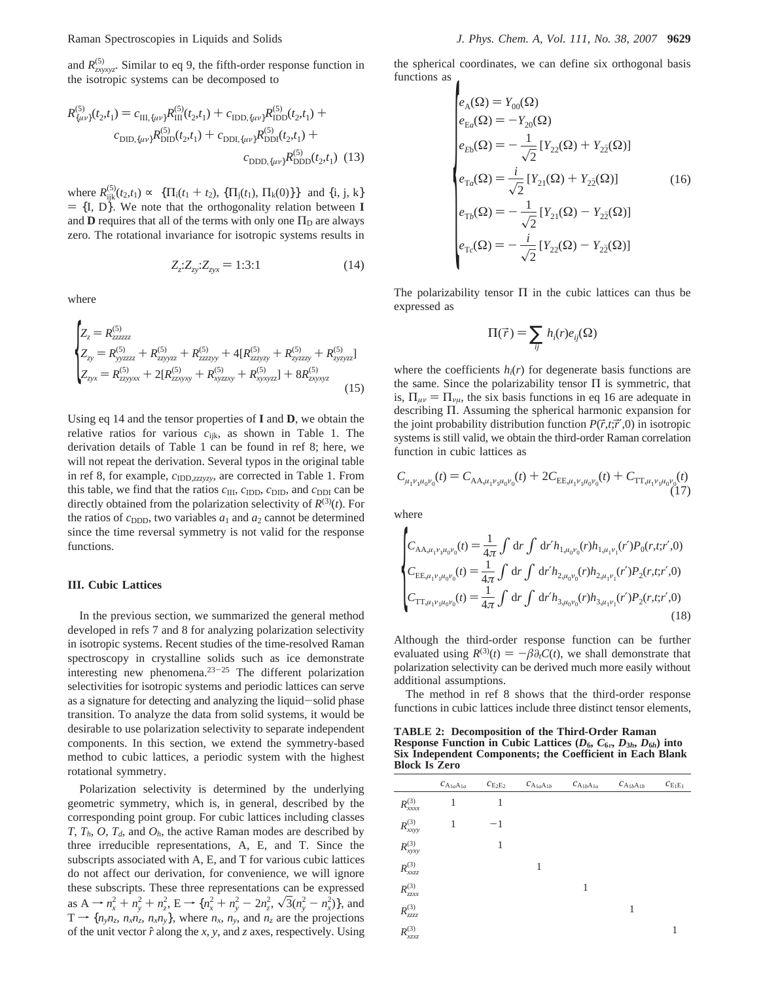and  $R_{zxyxyz}^{(5)}$ . Similar to eq 9, the fifth-order response function in the isotropic systems can be decomposed to

$$
R_{\{\mu\nu\}}^{(5)}(t_2, t_1) = c_{\text{III}, \{\mu\nu\}} R_{\text{III}}^{(5)}(t_2, t_1) + c_{\text{IDD}, \{\mu\nu\}} R_{\text{IDD}}^{(5)}(t_2, t_1) +c_{\text{DID}, \{\mu\nu\}} R_{\text{DID}}^{(5)}(t_2, t_1) + c_{\text{DDI}, \{\mu\nu\}} R_{\text{DDI}}^{(5)}(t_2, t_1) +c_{\text{DDD}, \{\mu\nu\}} R_{\text{DDD}}^{(5)}(t_2, t_1)
$$
(13)

where  $R_{ijk}^{(5)}(t_2,t_1) \propto \langle \{ \Pi_i(t_1 + t_2), \{ \Pi_j(t_1), \Pi_k(0) \} \} \rangle$  and  $\{i, j, k\}$ <br>=  $\{ \Pi, \Pi_k$  We note that the orthogonality relation between **I**  $= \{I, D\}$ . We note that the orthogonality relation between **I** and **D** requires that all of the terms with only one  $\Pi_D$  are always zero. The rotational invariance for isotropic systems results in

$$
Z_{z} : Z_{zy} : Z_{zyx} = 1 : 3 : 1
$$
 (14)

where

$$
\begin{cases}\nZ_z = R_{zzzzz}^{(5)} \\
Z_{zy} = R_{yyzzzz}^{(5)} + R_{zzyyzz}^{(5)} + R_{zzzyy}^{(5)} + 4[R_{zzzyzy}^{(5)} + R_{zyzzzy}^{(5)} + R_{zyzzzy}^{(5)} + R_{zyzzzz}^{(5)}] \\
Z_{zyx} = R_{zzyyxx}^{(5)} + 2[R_{zzxyxy}^{(5)} + R_{xyzzy}^{(5)} + R_{xyxyzz}^{(5)}] + 8R_{zyxyz}^{(5)}\n\end{cases}
$$
\n(15)

Using eq 14 and the tensor properties of **I** and **D**, we obtain the relative ratios for various *c*ijk, as shown in Table 1. The derivation details of Table 1 can be found in ref 8; here, we will not repeat the derivation. Several typos in the original table in ref 8, for example,  $c_{\text{IDD},zzzyzy}$ , are corrected in Table 1. From this table, we find that the ratios  $c_{III}$ ,  $c_{IDD}$ ,  $c_{DID}$ , and  $c_{DDI}$  can be directly obtained from the polarization selectivity of  $R^{(3)}(t)$ . For the ratios of  $c_{\text{DDD}}$ , two variables  $a_1$  and  $a_2$  cannot be determined since the time reversal symmetry is not valid for the response functions.

## **III. Cubic Lattices**

In the previous section, we summarized the general method developed in refs 7 and 8 for analyzing polarization selectivity in isotropic systems. Recent studies of the time-resolved Raman spectroscopy in crystalline solids such as ice demonstrate interesting new phenomena.23-<sup>25</sup> The different polarization selectivities for isotropic systems and periodic lattices can serve as a signature for detecting and analyzing the liquid-solid phase transition. To analyze the data from solid systems, it would be desirable to use polarization selectivity to separate independent components. In this section, we extend the symmetry-based method to cubic lattices, a periodic system with the highest rotational symmetry.

Polarization selectivity is determined by the underlying geometric symmetry, which is, in general, described by the corresponding point group. For cubic lattices including classes *T*,  $T_h$ , *O*,  $T_d$ , and  $O_h$ , the active Raman modes are described by three irreducible representations, A, E, and T. Since the subscripts associated with A, E, and T for various cubic lattices do not affect our derivation, for convenience, we will ignore these subscripts. These three representations can be expressed as  $A \rightarrow n_x^2 + n_y^2 + n_z^2$ ,  $E \rightarrow \{n_x^2 + n_y^2 - 2n_z^2, \sqrt{3}(n_y^2 - n_x^2)\}$ , and<br> $T \rightarrow \{n, n, n, n, n\}$ , where *n*, *n*, and *n*, are the projections  $T \rightarrow \{n_v n_z, n_x n_z, n_x n_v\}$ , where  $n_x$ ,  $n_v$ , and  $n_z$  are the projections of the unit vector  $\hat{r}$  along the *x*, *y*, and *z* axes, respectively. Using the spherical coordinates, we can define six orthogonal basis functions as

$$
\begin{cases}\ne_{A}(\Omega) = Y_{00}(\Omega) \\
e_{\text{E}a}(\Omega) = -Y_{20}(\Omega) \\
e_{\text{E}b}(\Omega) = -\frac{1}{\sqrt{2}} \left[ Y_{22}(\Omega) + Y_{2\bar{2}}(\Omega) \right] \\
e_{\text{Ta}}(\Omega) = \frac{i}{\sqrt{2}} \left[ Y_{21}(\Omega) + Y_{2\bar{2}}(\Omega) \right] \\
e_{\text{T}b}(\Omega) = -\frac{1}{\sqrt{2}} \left[ Y_{21}(\Omega) - Y_{2\bar{2}}(\Omega) \right] \\
e_{\text{Te}}(\Omega) = -\frac{i}{\sqrt{2}} \left[ Y_{22}(\Omega) - Y_{2\bar{2}}(\Omega) \right]\n\end{cases} (16)
$$

The polarizability tensor  $\Pi$  in the cubic lattices can thus be expressed as

$$
\Pi(\vec{r}) = \sum_{ij} h_i(r) e_{ij}(\Omega)
$$

where the coefficients  $h_i(r)$  for degenerate basis functions are the same. Since the polarizability tensor  $\Pi$  is symmetric, that is,  $\Pi_{\mu\nu} = \Pi_{\nu\mu}$ , the six basis functions in eq 16 are adequate in describing Π. Assuming the spherical harmonic expansion for the joint probability distribution function  $P(\vec{r}, t; \vec{r}', 0)$  in isotropic systems is still valid, we obtain the third-order Raman correlation function in cubic lattices as

$$
C_{\mu_1\nu_1\mu_0\nu_0}(t) = C_{AA,\mu_1\nu_1\mu_0\nu_0}(t) + 2C_{EE,\mu_1\nu_1\mu_0\nu_0}(t) + C_{TT,\mu_1\nu_1\mu_0\nu_0}(t)
$$
\n(17)

where

$$
\begin{cases}\nC_{\text{AA},\mu_1\nu_1\mu_0\nu_0}(t) = \frac{1}{4\pi} \int \mathrm{d}r \int \mathrm{d}r' h_{1,\mu_0\nu_0}(r) h_{1,\mu_1\nu_1}(r') P_0(r,t;r',0) \\
C_{\text{EE},\mu_1\nu_1\mu_0\nu_0}(t) = \frac{1}{4\pi} \int \mathrm{d}r \int \mathrm{d}r' h_{2,\mu_0\nu_0}(r) h_{2,\mu_1\nu_1}(r') P_2(r,t;r',0) \\
C_{\text{TT},\mu_1\nu_1\mu_0\nu_0}(t) = \frac{1}{4\pi} \int \mathrm{d}r \int \mathrm{d}r' h_{3,\mu_0\nu_0}(r) h_{3,\mu_1\nu_1}(r') P_2(r,t;r',0)\n\end{cases} (18)
$$

Although the third-order response function can be further evaluated using  $R^{(3)}(t) = -\beta \partial_t C(t)$ , we shall demonstrate that polarization selectivity can be derived much more easily without additional assumptions.

The method in ref 8 shows that the third-order response functions in cubic lattices include three distinct tensor elements,

**TABLE 2: Decomposition of the Third-Order Raman Response Function in Cubic Lattices**  $(D_6, C_{6v}, D_{3h}, D_{6h})$  **into Six Independent Components; the Coefficient in Each Blank Block Is Zero**

|                               | $c_{\mathrm{A_{1a}A_{1a}}}$ | $c_{\mathrm{E}_2\mathrm{E}_2}$ | $c_{\mathrm{A}_{1a}\mathrm{A}_{1b}}$ | $C_{\text{A}_{1b}\text{A}_{1a}}$ | $c_{\mathrm{A_{1b}A_{1b}}}$ | $c_{\mathrm{E_1E_1}}$ |
|-------------------------------|-----------------------------|--------------------------------|--------------------------------------|----------------------------------|-----------------------------|-----------------------|
| $R_{xxxx}^{(3)}$              | 1                           | 1                              |                                      |                                  |                             |                       |
| $R_{xxyy}^{\left( 3\right) }$ | 1                           | $^{-1}$                        |                                      |                                  |                             |                       |
| $R^{(3)}_{xyxy}$              |                             | 1                              |                                      |                                  |                             |                       |
| $R_{xxzz}^{(3)}$              |                             |                                | 1                                    |                                  |                             |                       |
| $R_{zzxx}^{\left( 3\right) }$ |                             |                                |                                      | 1                                |                             |                       |
| $R_{zzzz}^{\left( 3\right) }$ |                             |                                |                                      |                                  | 1                           |                       |
| $R_{xxzz}^{(3)}$              |                             |                                |                                      |                                  |                             | 1                     |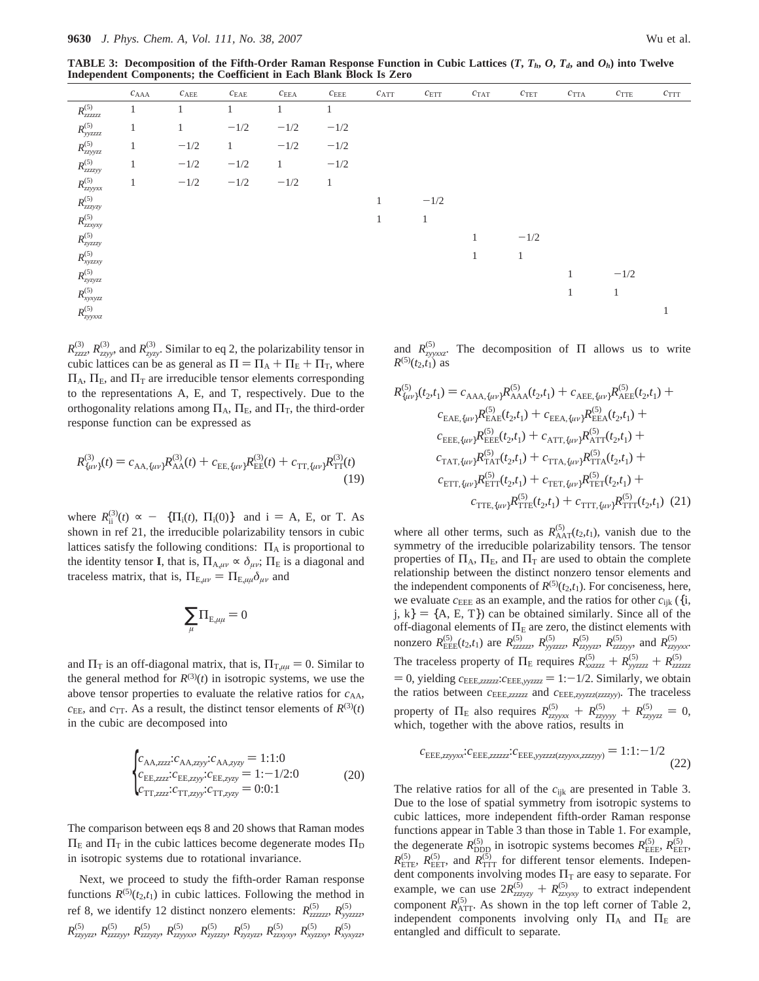|                                                            | $c_{\rm AAA}$ | $c_{A\to E}$ | $c_{\rm EAE}$ | $c_\mathrm{EEA}$ | $c_{\rm EEE}$ | $c_{\mathrm{ATT}}$ | $c_{\rm ETT}$ | $c_{\rm TAT}$ | $c_{\rm TET}$ | $c_{\rm TTA}$ | $c_{\mathrm{TTE}}$ | $c_{\rm TTT}$ |
|------------------------------------------------------------|---------------|--------------|---------------|------------------|---------------|--------------------|---------------|---------------|---------------|---------------|--------------------|---------------|
| $R_{zzzzzz}^{\left( 5\right) }$                            |               |              |               |                  |               |                    |               |               |               |               |                    |               |
| $R_{yyzzzz}^{\left( 5\right) }$                            | $\mathbf{1}$  | $\mathbf{1}$ | $-1/2\,$      | $-1/2$           | $-1/2$        |                    |               |               |               |               |                    |               |
| $R_{zzyyzz}^{(5)}$                                         | $\mathbf{1}$  | $-1/2$       | $\mathbf{1}$  | $-1/2$           | $-1/2$        |                    |               |               |               |               |                    |               |
| $R_{zzzzyy}^{(5)}$                                         | 1             | $-1/2$       | $-1/2$        | 1                | $-1/2$        |                    |               |               |               |               |                    |               |
| $R_{zzyyxx}^{(5)}$                                         | 1             | $-1/2$       | $-1/2$        | $-1/2$           | 1             |                    |               |               |               |               |                    |               |
| $R_{zzzyzy}^{(5)}$                                         |               |              |               |                  |               | $\mathbf{1}$       | $-1/2$        |               |               |               |                    |               |
| $R_{zzxyxy}^{\left( 5\right) }$                            |               |              |               |                  |               | $\mathbf{1}$       | $\mathbf{1}$  |               |               |               |                    |               |
| $R_{zyzzzy}^{\left( 5\right) }$                            |               |              |               |                  |               |                    |               | 1             | $-1/2$        |               |                    |               |
| $R_{xyzzy}^{\left( 5\right) }$                             |               |              |               |                  |               |                    |               | $\mathbf{1}$  | $\mathbf{1}$  |               |                    |               |
| $R_{zyz y z z}^{(5)}$                                      |               |              |               |                  |               |                    |               |               |               | $\mathbf{1}$  | $-1/2$             |               |
| $R_{\scriptscriptstyle \chi \gamma \chi \gamma z z}^{(5)}$ |               |              |               |                  |               |                    |               |               |               | $\mathbf{1}$  | $\pm$              |               |
| $R_{zyyxxz}^{(5)}$                                         |               |              |               |                  |               |                    |               |               |               |               |                    | -1            |

 $R_{zzzz}^{(3)}$ ,  $R_{zyy}^{(3)}$ , and  $R_{zyzy}^{(3)}$ . Similar to eq 2, the polarizability tensor in cubic lattices can be as general as  $\Pi = \Pi_A + \Pi_E + \Pi_T$ , where  $\Pi_A$ ,  $\Pi_E$ , and  $\Pi_T$  are irreducible tensor elements corresponding to the representations A, E, and T, respectively. Due to the orthogonality relations among  $\Pi_A$ ,  $\Pi_E$ , and  $\Pi_T$ , the third-order response function can be expressed as

$$
R^{(3)}_{\{\mu\nu\}}(t) = c_{\text{AA},\{\mu\nu\}} R^{(3)}_{\text{AA}}(t) + c_{\text{EE},\{\mu\nu\}} R^{(3)}_{\text{EE}}(t) + c_{\text{TT},\{\mu\nu\}} R^{(3)}_{\text{TT}}(t)
$$
\n(19)

where  $R_{ii}^{(3)}(t) \propto -\langle \{ \Pi_i(t), \Pi_i(0) \} \rangle$  and  $i = A$ , E, or T. As shown in ref 21, the irreducible polarizability tensors in cubic lattices satisfy the following conditions:  $\Pi_A$  is proportional to the identity tensor **I**, that is,  $\Pi_{A,\mu\nu} \propto \delta_{\mu\nu}$ ;  $\Pi_E$  is a diagonal and traceless matrix, that is,  $\Pi_{E,\mu\nu} = \Pi_{E,\mu\mu}\delta_{\mu\nu}$  and

$$
\underset{\mu}{\sum}\Pi_{E,\mu\mu}=0
$$

and  $\Pi$ <sub>T</sub> is an off-diagonal matrix, that is,  $\Pi$ <sub>T, $\mu\mu$ </sub> = 0. Similar to the general method for  $R^{(3)}(t)$  in isotropic systems, we use the above tensor properties to evaluate the relative ratios for  $c_{AA}$ ,  $c_{\text{EE}}$ , and  $c_{\text{TT}}$ . As a result, the distinct tensor elements of  $R^{(3)}(t)$ in the cubic are decomposed into

$$
\begin{cases} c_{\text{AA},zzzz}:c_{\text{AA},zyy}:c_{\text{AA},zyzy} = 1:1:0\\ c_{\text{EE},zzzz}:c_{\text{EE},zyy}:c_{\text{EE},zyy} = 1:-1/2:0\\ c_{\text{TT},zzzz}:c_{\text{TT},zyy}:c_{\text{TT},zyy} = 0:0:1 \end{cases} \tag{20}
$$

The comparison between eqs 8 and 20 shows that Raman modes  $\Pi_E$  and  $\Pi_T$  in the cubic lattices become degenerate modes  $\Pi_D$ in isotropic systems due to rotational invariance.

Next, we proceed to study the fifth-order Raman response functions  $R^{(5)}(t_2,t_1)$  in cubic lattices. Following the method in ref 8, we identify 12 distinct nonzero elements:  $R_{zzzzzz}^{(5)}$ ,  $R_{yyzzzz}^{(5)}$  $R^{(5)}_{zzyyzz}, R^{(5)}_{zzzzyy}, R^{(5)}_{zzzyzy}, R^{(5)}_{zzyyxx}, R^{(5)}_{zyzzzy}, R^{(5)}_{zzyyzz}, R^{(5)}_{zzxyxy}, R^{(5)}_{xyzzy}, R^{(5)}_{xyzxzz}$ 

and  $R_{zyxxz}^{(5)}$ . The decomposition of  $\Pi$  allows us to write  $R^{(5)}(t_2,t_1)$  as

$$
R^{(5)}_{\{\mu\nu\}}(t_2, t_1) = c_{\text{AAA}, \{\mu\nu\}} R^{(5)}_{\text{AAA}, \{\mu\nu\}} R^{(5)}_{\text{AAA}, \{\mu\nu\}} + c_{\text{AEE}, \{\mu\nu\}} R^{(5)}_{\text{AEE}}(t_2, t_1) + c_{\text{EEA}, \{\mu\nu\}} R^{(5)}_{\text{ELE}}(t_2, t_1) + c_{\text{EEA}, \{\mu\nu\}} R^{(5)}_{\text{ELE}}(t_2, t_1) + c_{\text{EEE}, \{\mu\nu\}} R^{(5)}_{\text{ELE}}(t_2, t_1) + c_{\text{ATT}, \{\mu\nu\}} R^{(5)}_{\text{ATT}}(t_2, t_1) + c_{\text{TTA}, \{\mu\nu\}} R^{(5)}_{\text{TTA}}(t_2, t_1) + c_{\text{TTA}, \{\mu\nu\}} R^{(5)}_{\text{TTA}}(t_2, t_1) + c_{\text{ETT}, \{\mu\nu\}} R^{(5)}_{\text{ATT}}(t_2, t_1) + c_{\text{TET}, \{\mu\nu\}} R^{(5)}_{\text{TET}}(t_2, t_1) + c_{\text{TTT}, \{\mu\nu\}} R^{(5)}_{\text{TTT}}(t_2, t_1) + c_{\text{TTT}, \{\mu\nu\}} R^{(5)}_{\text{TTT}}(t_2, t_1) \quad (21)
$$

where all other terms, such as  $R_{\text{AAT}}^{(5)}(t_2,t_1)$ , vanish due to the symmetry of the irreducible polarizability tensors. The tensor properties of  $\Pi_A$ ,  $\Pi_E$ , and  $\Pi_T$  are used to obtain the complete relationship between the distinct nonzero tensor elements and the independent components of  $R^{(5)}(t_2,t_1)$ . For conciseness, here, we evaluate  $c_{\text{EEE}}$  as an example, and the ratios for other  $c_{ijk}$  ({i, j, k} = {A, E, T}) can be obtained similarly. Since all of the off-diagonal elements of  $\Pi_E$  are zero, the distinct elements with nonzero  $R_{\text{EEE}}^{(5)}(t_2,t_1)$  are  $R_{zzzzzzz}^{(5)}$ ,  $R_{yyzzzzz}^{(5)}$ ,  $R_{zzyyzzz}^{(5)}$ ,  $R_{zzzyyx}^{(5)}$ , and  $R_{zzyyxx}^{(5)}$ . The traceless property of  $\Pi_E$  requires  $R_{xyzzzz}^{(5)} + R_{yyzzzzz}^{(5)} + R_{zzzzzzz}^{(5)}$  $= 0$ , yielding  $c_{\text{EEE},zzzzzz}$ : $c_{\text{EEE},yyzzzz} = 1$ : $-1/2$ . Similarly, we obtain the ratios between *c*EEE,*zzzzzz* and *c*EEE,*zyyzzz*(*zzzzyy*). The traceless property of  $\Pi$ <sub>E</sub> also requires  $R_{zzy yxx}^{(5)} + R_{zzy yyy}^{(5)} + R_{zzy yzz}^{(5)} = 0$ , which, together with the above ratios, results in

$$
c_{\text{EEE}, zzyyxx}: c_{\text{EEE}, zzzzzz}: c_{\text{EEE}, yyzzzz(zzyyxx, zzzzyy)} = 1:1:-1/2
$$
\n(22)

The relative ratios for all of the *c*ijk are presented in Table 3. Due to the lose of spatial symmetry from isotropic systems to cubic lattices, more independent fifth-order Raman response functions appear in Table 3 than those in Table 1. For example, the degenerate  $R_{\text{DDD}}^{(5)}$  in isotropic systems becomes  $R_{\text{EEE}}^{(5)}$ ,  $R_{\text{EET}}^{(5)}$ ,  $R_{\text{ETE}}^{(5)}$ ,  $R_{\text{EET}}^{(5)}$  and  $R_{\text{TTT}}^{(5)}$  for different tensor elements. Independent components involving modes  $\Pi$ <sub>T</sub> are easy to separate. For example, we can use  $2R_{zzzzy}^{(5)} + R_{zzxzy}^{(5)}$  to extract independent<br>component  $P^{(5)}$  . As shown in the top loft corpor of Table 2. component  $R_{\text{ATT}}^{(5)}$ . As shown in the top left corner of Table 2, independent components involving only  $\Pi_A$  and  $\Pi_E$  are entangled and difficult to separate.